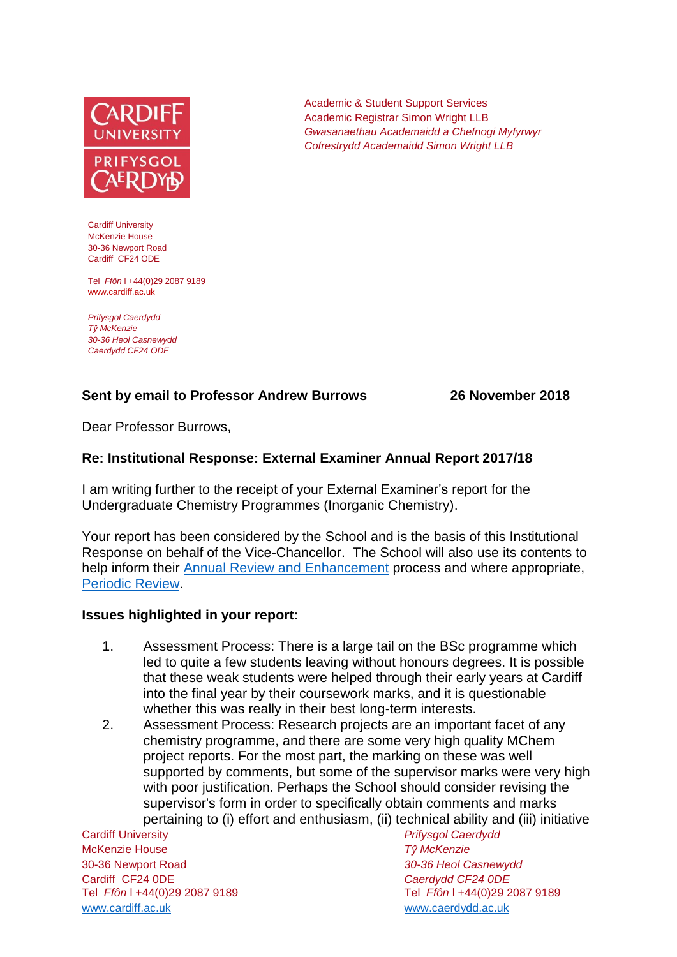

Cardiff University McKenzie House 30-36 Newport Road Cardiff CF24 ODE

Tel *Ffôn* l +44(0)29 2087 9189 www.cardiff.ac.uk

*Prifysgol Caerdydd Tŷ McKenzie 30-36 Heol Casnewydd Caerdydd CF24 ODE*

## **Sent by email to Professor Andrew Burrows 26 November 2018**

Dear Professor Burrows,

### **Re: Institutional Response: External Examiner Annual Report 2017/18**

I am writing further to the receipt of your External Examiner's report for the Undergraduate Chemistry Programmes (Inorganic Chemistry).

Your report has been considered by the School and is the basis of this Institutional Response on behalf of the Vice-Chancellor. The School will also use its contents to help inform their [Annual Review and Enhancement](https://learningcentral.cf.ac.uk/webapps/portal/execute/tabs/tabAction?tab_tab_group_id=_1_1) process and where appropriate, [Periodic Review.](http://www.cardiff.ac.uk/public-information/quality-and-standards/monitoring-and-review/periodic-review)

#### **Issues highlighted in your report:**

- 1. Assessment Process: There is a large tail on the BSc programme which led to quite a few students leaving without honours degrees. It is possible that these weak students were helped through their early years at Cardiff into the final year by their coursework marks, and it is questionable whether this was really in their best long-term interests.
- 2. Assessment Process: Research projects are an important facet of any chemistry programme, and there are some very high quality MChem project reports. For the most part, the marking on these was well supported by comments, but some of the supervisor marks were very high with poor justification. Perhaps the School should consider revising the supervisor's form in order to specifically obtain comments and marks pertaining to (i) effort and enthusiasm, (ii) technical ability and (iii) initiative

Cardiff University *Prifysgol Caerdydd* McKenzie House *Tŷ McKenzie* 30-36 Newport Road *30-36 Heol Casnewydd* Cardiff CF24 0DE *Caerdydd CF24 0DE* [www.cardiff.ac.uk](http://www.cardiff.ac.uk/) www.cardiff.ac.uk

Tel *Ffôn* l +44(0)29 2087 9189 Tel *Ffôn* l +44(0)29 2087 9189

Academic & Student Support Services Academic Registrar Simon Wright LLB *Gwasanaethau Academaidd a Chefnogi Myfyrwyr Cofrestrydd Academaidd Simon Wright LLB*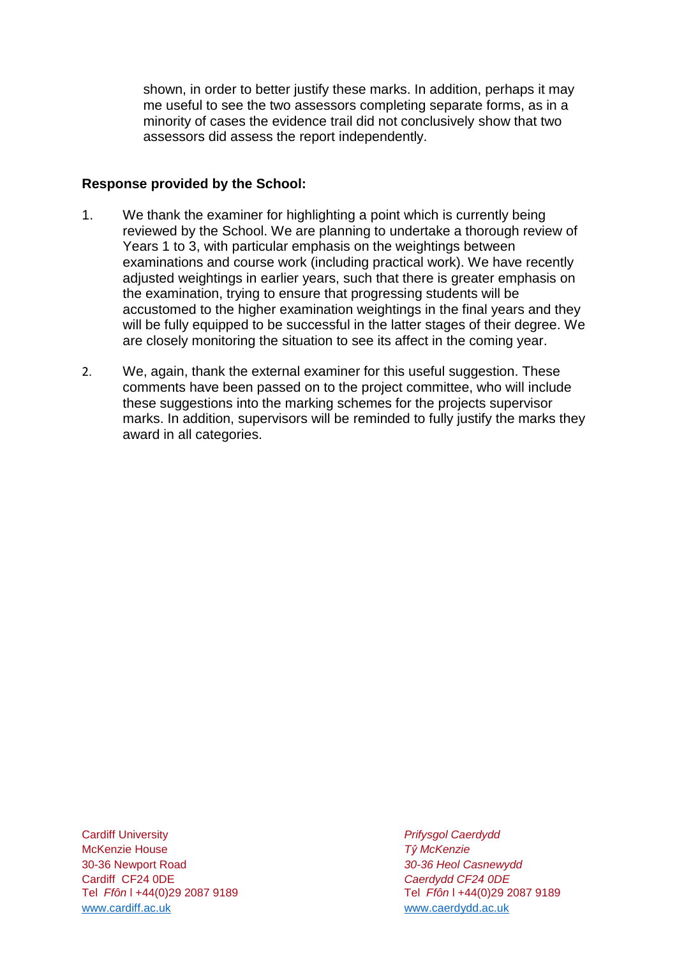shown, in order to better justify these marks. In addition, perhaps it may me useful to see the two assessors completing separate forms, as in a minority of cases the evidence trail did not conclusively show that two assessors did assess the report independently.

## **Response provided by the School:**

- 1. We thank the examiner for highlighting a point which is currently being reviewed by the School. We are planning to undertake a thorough review of Years 1 to 3, with particular emphasis on the weightings between examinations and course work (including practical work). We have recently adjusted weightings in earlier years, such that there is greater emphasis on the examination, trying to ensure that progressing students will be accustomed to the higher examination weightings in the final years and they will be fully equipped to be successful in the latter stages of their degree. We are closely monitoring the situation to see its affect in the coming year.
- 2. We, again, thank the external examiner for this useful suggestion. These comments have been passed on to the project committee, who will include these suggestions into the marking schemes for the projects supervisor marks. In addition, supervisors will be reminded to fully justify the marks they award in all categories.

Cardiff University *Prifysgol Caerdydd* McKenzie House *Tŷ McKenzie* 30-36 Newport Road *30-36 Heol Casnewydd* Tel *Ffôn* l +44(0)29 2087 9189 Tel *Ffôn* l +44(0)29 2087 9189 [www.cardiff.ac.uk](http://www.cardiff.ac.uk/) www.cardiff.ac.uk

Cardiff CF24 0DE *Caerdydd CF24 0DE*